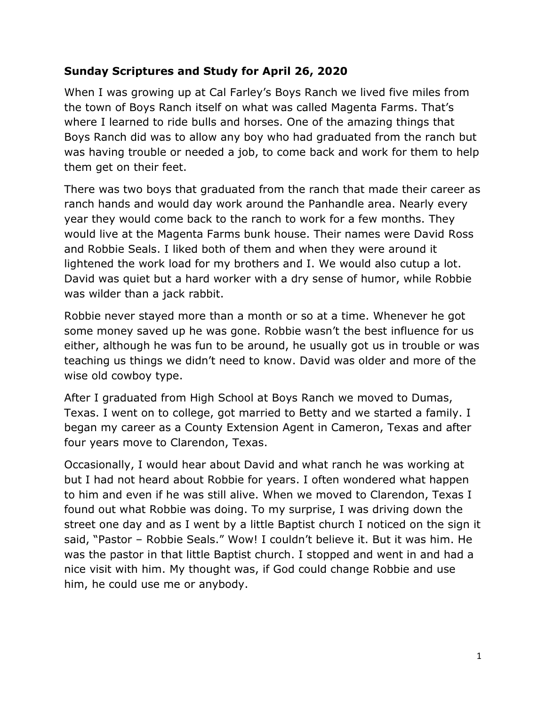### **Sunday Scriptures and Study for April 26, 2020**

When I was growing up at Cal Farley's Boys Ranch we lived five miles from the town of Boys Ranch itself on what was called Magenta Farms. That's where I learned to ride bulls and horses. One of the amazing things that Boys Ranch did was to allow any boy who had graduated from the ranch but was having trouble or needed a job, to come back and work for them to help them get on their feet.

There was two boys that graduated from the ranch that made their career as ranch hands and would day work around the Panhandle area. Nearly every year they would come back to the ranch to work for a few months. They would live at the Magenta Farms bunk house. Their names were David Ross and Robbie Seals. I liked both of them and when they were around it lightened the work load for my brothers and I. We would also cutup a lot. David was quiet but a hard worker with a dry sense of humor, while Robbie was wilder than a jack rabbit.

Robbie never stayed more than a month or so at a time. Whenever he got some money saved up he was gone. Robbie wasn't the best influence for us either, although he was fun to be around, he usually got us in trouble or was teaching us things we didn't need to know. David was older and more of the wise old cowboy type.

After I graduated from High School at Boys Ranch we moved to Dumas, Texas. I went on to college, got married to Betty and we started a family. I began my career as a County Extension Agent in Cameron, Texas and after four years move to Clarendon, Texas.

Occasionally, I would hear about David and what ranch he was working at but I had not heard about Robbie for years. I often wondered what happen to him and even if he was still alive. When we moved to Clarendon, Texas I found out what Robbie was doing. To my surprise, I was driving down the street one day and as I went by a little Baptist church I noticed on the sign it said, "Pastor – Robbie Seals." Wow! I couldn't believe it. But it was him. He was the pastor in that little Baptist church. I stopped and went in and had a nice visit with him. My thought was, if God could change Robbie and use him, he could use me or anybody.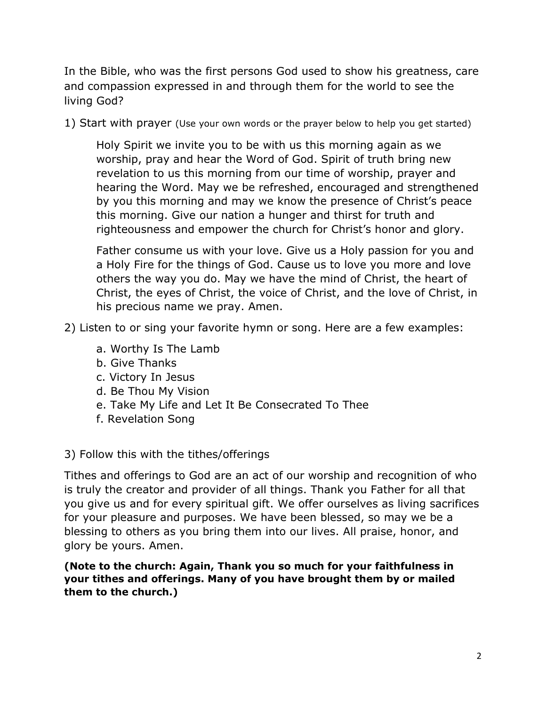In the Bible, who was the first persons God used to show his greatness, care and compassion expressed in and through them for the world to see the living God?

1) Start with prayer (Use your own words or the prayer below to help you get started)

Holy Spirit we invite you to be with us this morning again as we worship, pray and hear the Word of God. Spirit of truth bring new revelation to us this morning from our time of worship, prayer and hearing the Word. May we be refreshed, encouraged and strengthened by you this morning and may we know the presence of Christ's peace this morning. Give our nation a hunger and thirst for truth and righteousness and empower the church for Christ's honor and glory.

Father consume us with your love. Give us a Holy passion for you and a Holy Fire for the things of God. Cause us to love you more and love others the way you do. May we have the mind of Christ, the heart of Christ, the eyes of Christ, the voice of Christ, and the love of Christ, in his precious name we pray. Amen.

- 2) Listen to or sing your favorite hymn or song. Here are a few examples:
	- a. Worthy Is The Lamb
	- b. Give Thanks
	- c. Victory In Jesus
	- d. Be Thou My Vision
	- e. Take My Life and Let It Be Consecrated To Thee
	- f. Revelation Song
- 3) Follow this with the tithes/offerings

Tithes and offerings to God are an act of our worship and recognition of who is truly the creator and provider of all things. Thank you Father for all that you give us and for every spiritual gift. We offer ourselves as living sacrifices for your pleasure and purposes. We have been blessed, so may we be a blessing to others as you bring them into our lives. All praise, honor, and glory be yours. Amen.

**(Note to the church: Again, Thank you so much for your faithfulness in your tithes and offerings. Many of you have brought them by or mailed them to the church.)**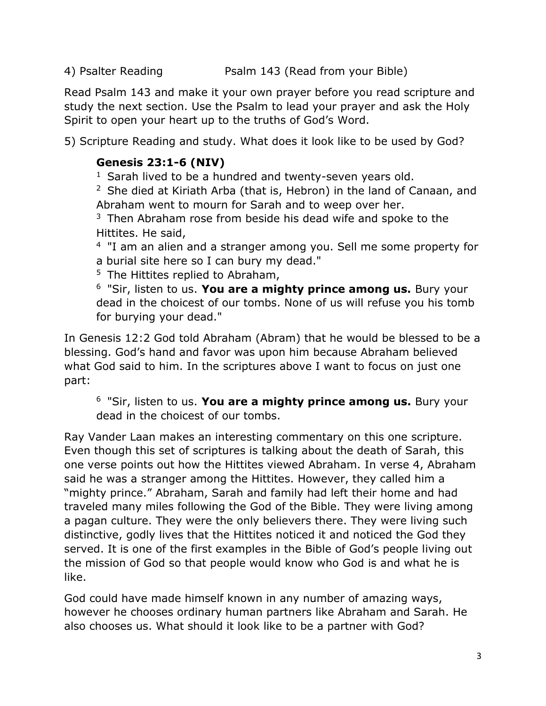4) Psalter Reading **Psalm 143 (Read from your Bible)** 

Read Psalm 143 and make it your own prayer before you read scripture and study the next section. Use the Psalm to lead your prayer and ask the Holy Spirit to open your heart up to the truths of God's Word.

5) Scripture Reading and study. What does it look like to be used by God?

# **Genesis 23:1-6 (NIV)**

 $1$  Sarah lived to be a hundred and twenty-seven years old.

 $2$  She died at Kiriath Arba (that is, Hebron) in the land of Canaan, and Abraham went to mourn for Sarah and to weep over her.

 $3$  Then Abraham rose from beside his dead wife and spoke to the Hittites. He said,

<sup>4</sup> "I am an alien and a stranger among you. Sell me some property for a burial site here so I can bury my dead."

 $5$  The Hittites replied to Abraham,

<sup>6</sup>"Sir, listen to us. **You are a mighty prince among us.** Bury your dead in the choicest of our tombs. None of us will refuse you his tomb for burying your dead."

In Genesis 12:2 God told Abraham (Abram) that he would be blessed to be a blessing. God's hand and favor was upon him because Abraham believed what God said to him. In the scriptures above I want to focus on just one part:

<sup>6</sup>"Sir, listen to us. **You are a mighty prince among us.** Bury your dead in the choicest of our tombs.

Ray Vander Laan makes an interesting commentary on this one scripture. Even though this set of scriptures is talking about the death of Sarah, this one verse points out how the Hittites viewed Abraham. In verse 4, Abraham said he was a stranger among the Hittites. However, they called him a "mighty prince." Abraham, Sarah and family had left their home and had traveled many miles following the God of the Bible. They were living among a pagan culture. They were the only believers there. They were living such distinctive, godly lives that the Hittites noticed it and noticed the God they served. It is one of the first examples in the Bible of God's people living out the mission of God so that people would know who God is and what he is like.

God could have made himself known in any number of amazing ways, however he chooses ordinary human partners like Abraham and Sarah. He also chooses us. What should it look like to be a partner with God?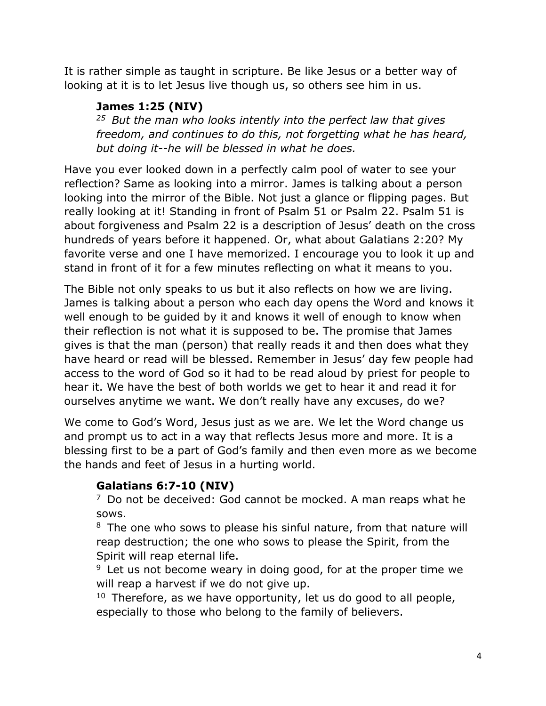It is rather simple as taught in scripture. Be like Jesus or a better way of looking at it is to let Jesus live though us, so others see him in us.

## **James 1:25 (NIV)**

*<sup>25</sup>But the man who looks intently into the perfect law that gives freedom, and continues to do this, not forgetting what he has heard, but doing it--he will be blessed in what he does.* 

Have you ever looked down in a perfectly calm pool of water to see your reflection? Same as looking into a mirror. James is talking about a person looking into the mirror of the Bible. Not just a glance or flipping pages. But really looking at it! Standing in front of Psalm 51 or Psalm 22. Psalm 51 is about forgiveness and Psalm 22 is a description of Jesus' death on the cross hundreds of years before it happened. Or, what about Galatians 2:20? My favorite verse and one I have memorized. I encourage you to look it up and stand in front of it for a few minutes reflecting on what it means to you.

The Bible not only speaks to us but it also reflects on how we are living. James is talking about a person who each day opens the Word and knows it well enough to be guided by it and knows it well of enough to know when their reflection is not what it is supposed to be. The promise that James gives is that the man (person) that really reads it and then does what they have heard or read will be blessed. Remember in Jesus' day few people had access to the word of God so it had to be read aloud by priest for people to hear it. We have the best of both worlds we get to hear it and read it for ourselves anytime we want. We don't really have any excuses, do we?

We come to God's Word, Jesus just as we are. We let the Word change us and prompt us to act in a way that reflects Jesus more and more. It is a blessing first to be a part of God's family and then even more as we become the hands and feet of Jesus in a hurting world.

### **Galatians 6:7-10 (NIV)**

 $7$  Do not be deceived: God cannot be mocked. A man reaps what he sows.

 $8$  The one who sows to please his sinful nature, from that nature will reap destruction; the one who sows to please the Spirit, from the Spirit will reap eternal life.

 $9$  Let us not become weary in doing good, for at the proper time we will reap a harvest if we do not give up.

 $10$  Therefore, as we have opportunity, let us do good to all people, especially to those who belong to the family of believers.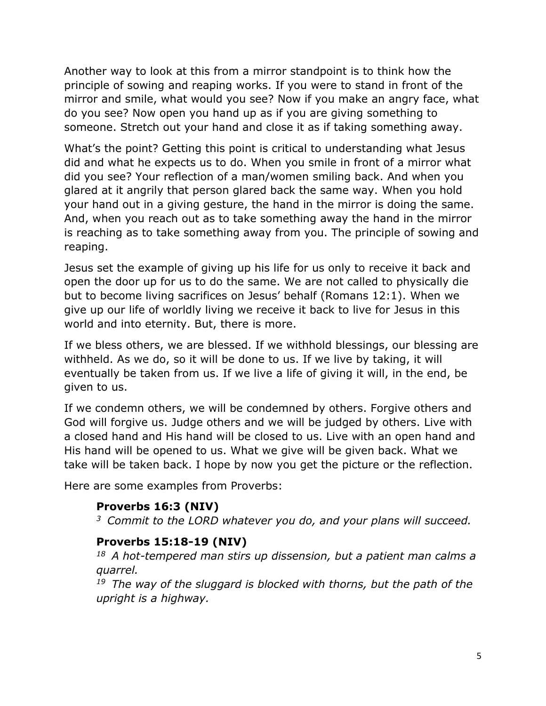Another way to look at this from a mirror standpoint is to think how the principle of sowing and reaping works. If you were to stand in front of the mirror and smile, what would you see? Now if you make an angry face, what do you see? Now open you hand up as if you are giving something to someone. Stretch out your hand and close it as if taking something away.

What's the point? Getting this point is critical to understanding what Jesus did and what he expects us to do. When you smile in front of a mirror what did you see? Your reflection of a man/women smiling back. And when you glared at it angrily that person glared back the same way. When you hold your hand out in a giving gesture, the hand in the mirror is doing the same. And, when you reach out as to take something away the hand in the mirror is reaching as to take something away from you. The principle of sowing and reaping.

Jesus set the example of giving up his life for us only to receive it back and open the door up for us to do the same. We are not called to physically die but to become living sacrifices on Jesus' behalf (Romans 12:1). When we give up our life of worldly living we receive it back to live for Jesus in this world and into eternity. But, there is more.

If we bless others, we are blessed. If we withhold blessings, our blessing are withheld. As we do, so it will be done to us. If we live by taking, it will eventually be taken from us. If we live a life of giving it will, in the end, be given to us.

If we condemn others, we will be condemned by others. Forgive others and God will forgive us. Judge others and we will be judged by others. Live with a closed hand and His hand will be closed to us. Live with an open hand and His hand will be opened to us. What we give will be given back. What we take will be taken back. I hope by now you get the picture or the reflection.

Here are some examples from Proverbs:

## **Proverbs 16:3 (NIV)**

*<sup>3</sup>Commit to the LORD whatever you do, and your plans will succeed.* 

### **Proverbs 15:18-19 (NIV)**

*<sup>18</sup>A hot-tempered man stirs up dissension, but a patient man calms a quarrel.* 

*<sup>19</sup>The way of the sluggard is blocked with thorns, but the path of the upright is a highway.*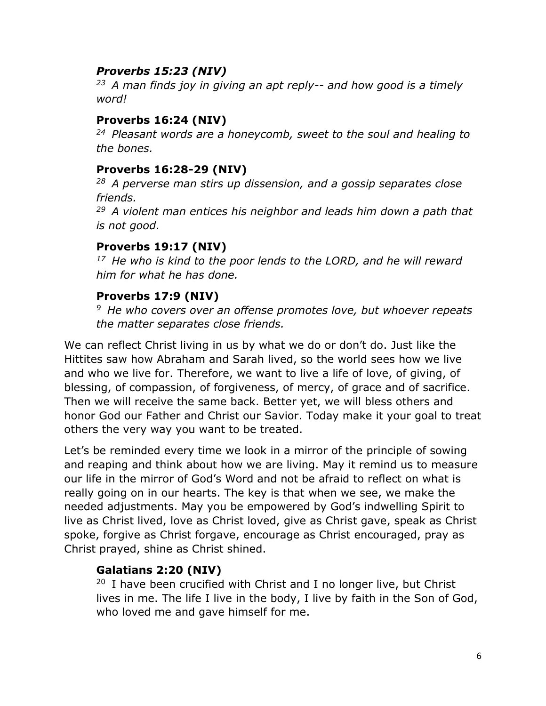### *Proverbs 15:23 (NIV)*

*<sup>23</sup>A man finds joy in giving an apt reply-- and how good is a timely word!* 

### **Proverbs 16:24 (NIV)**

*<sup>24</sup>Pleasant words are a honeycomb, sweet to the soul and healing to the bones.*

### **Proverbs 16:28-29 (NIV)**

*<sup>28</sup>A perverse man stirs up dissension, and a gossip separates close friends.* 

*<sup>29</sup>A violent man entices his neighbor and leads him down a path that is not good.* 

## **Proverbs 19:17 (NIV)**

*<sup>17</sup>He who is kind to the poor lends to the LORD, and he will reward him for what he has done.* 

## **Proverbs 17:9 (NIV)**

*<sup>9</sup>He who covers over an offense promotes love, but whoever repeats the matter separates close friends.* 

We can reflect Christ living in us by what we do or don't do. Just like the Hittites saw how Abraham and Sarah lived, so the world sees how we live and who we live for. Therefore, we want to live a life of love, of giving, of blessing, of compassion, of forgiveness, of mercy, of grace and of sacrifice. Then we will receive the same back. Better yet, we will bless others and honor God our Father and Christ our Savior. Today make it your goal to treat others the very way you want to be treated.

Let's be reminded every time we look in a mirror of the principle of sowing and reaping and think about how we are living. May it remind us to measure our life in the mirror of God's Word and not be afraid to reflect on what is really going on in our hearts. The key is that when we see, we make the needed adjustments. May you be empowered by God's indwelling Spirit to live as Christ lived, love as Christ loved, give as Christ gave, speak as Christ spoke, forgive as Christ forgave, encourage as Christ encouraged, pray as Christ prayed, shine as Christ shined.

## **Galatians 2:20 (NIV)**

 $20$  I have been crucified with Christ and I no longer live, but Christ lives in me. The life I live in the body, I live by faith in the Son of God, who loved me and gave himself for me.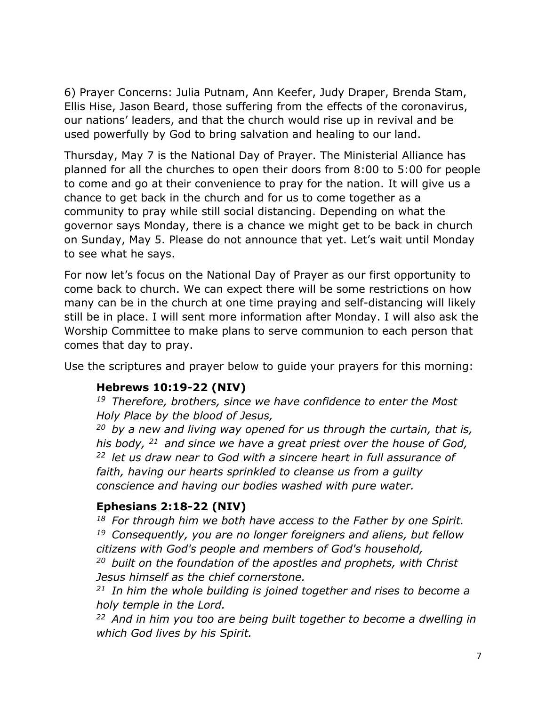6) Prayer Concerns: Julia Putnam, Ann Keefer, Judy Draper, Brenda Stam, Ellis Hise, Jason Beard, those suffering from the effects of the coronavirus, our nations' leaders, and that the church would rise up in revival and be used powerfully by God to bring salvation and healing to our land.

Thursday, May 7 is the National Day of Prayer. The Ministerial Alliance has planned for all the churches to open their doors from 8:00 to 5:00 for people to come and go at their convenience to pray for the nation. It will give us a chance to get back in the church and for us to come together as a community to pray while still social distancing. Depending on what the governor says Monday, there is a chance we might get to be back in church on Sunday, May 5. Please do not announce that yet. Let's wait until Monday to see what he says.

For now let's focus on the National Day of Prayer as our first opportunity to come back to church. We can expect there will be some restrictions on how many can be in the church at one time praying and self-distancing will likely still be in place. I will sent more information after Monday. I will also ask the Worship Committee to make plans to serve communion to each person that comes that day to pray.

Use the scriptures and prayer below to guide your prayers for this morning:

## **Hebrews 10:19-22 (NIV)**

*<sup>19</sup>Therefore, brothers, since we have confidence to enter the Most Holy Place by the blood of Jesus,* 

*<sup>20</sup>by a new and living way opened for us through the curtain, that is, his body, <sup>21</sup>and since we have a great priest over the house of God, <sup>22</sup>let us draw near to God with a sincere heart in full assurance of faith, having our hearts sprinkled to cleanse us from a guilty conscience and having our bodies washed with pure water.* 

## **Ephesians 2:18-22 (NIV)**

*<sup>18</sup>For through him we both have access to the Father by one Spirit. <sup>19</sup>Consequently, you are no longer foreigners and aliens, but fellow citizens with God's people and members of God's household,* 

*<sup>20</sup>built on the foundation of the apostles and prophets, with Christ Jesus himself as the chief cornerstone.* 

*<sup>21</sup>In him the whole building is joined together and rises to become a holy temple in the Lord.* 

*<sup>22</sup>And in him you too are being built together to become a dwelling in which God lives by his Spirit.*